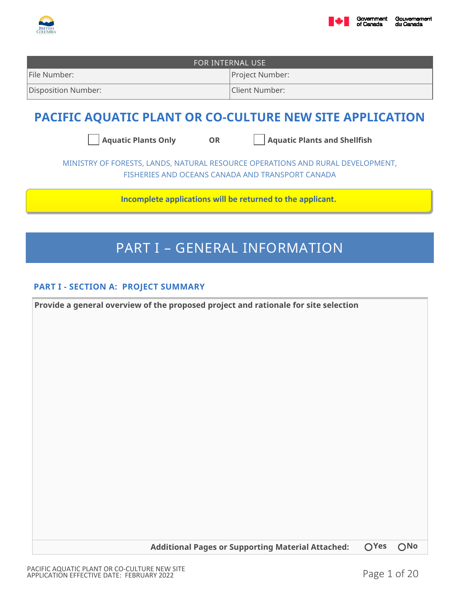



| FOR INTERNAL USE    |                 |  |
|---------------------|-----------------|--|
| File Number:        | Project Number: |  |
| Disposition Number: | Client Number:  |  |
|                     |                 |  |

# **PACIFIC AQUATIC PLANT OR CO-CULTURE NEW SITE APPLICATION**

Aquatic Plants Only **OR** Aquatic Plants and Shellfish

MINISTRY OF FORESTS, LANDS, NATURAL RESOURCE OPERATIONS AND RURAL DEVELOPMENT, FISHERIES AND OCEANS CANADA AND TRANSPORT CANADA

**Incomplete applications will be returned to the applicant.**

# PART I – GENERAL INFORMATION

# **PART I - SECTION A: PROJECT SUMMARY**

**Provide a general overview of the proposed project and rationale for site selection**

**Additional Pages or Supporting Material Attached: Yes No**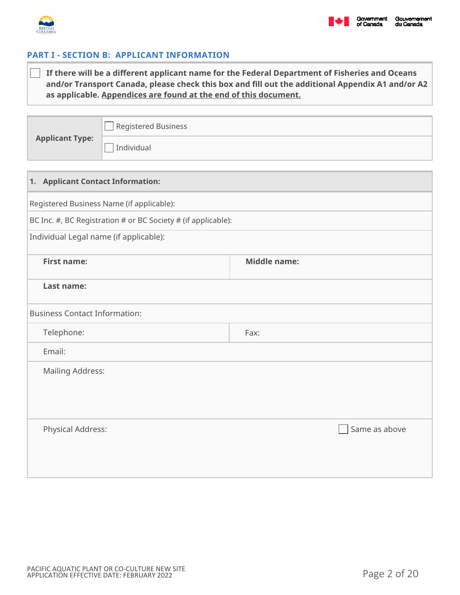

# **PART I - SECTION B: APPLICANT INFORMATION**

| $\Box$ If there will be a different applicant name for the Federal Department of Fisheries and Oceans |
|-------------------------------------------------------------------------------------------------------|
| and/or Transport Canada, please check this box and fill out the additional Appendix A1 and/or A2      |
| as applicable. Appendices are found at the end of this document.                                      |

**Applicant Type:**

 $\Box$  Individual

 $\Box$ 

Registered Business

| 1. Applicant Contact Information:                             |                     |  |  |  |
|---------------------------------------------------------------|---------------------|--|--|--|
| Registered Business Name (if applicable):                     |                     |  |  |  |
| BC Inc. #, BC Registration # or BC Society # (if applicable): |                     |  |  |  |
| Individual Legal name (if applicable):                        |                     |  |  |  |
| <b>First name:</b>                                            | <b>Middle name:</b> |  |  |  |
| Last name:                                                    |                     |  |  |  |
| <b>Business Contact Information:</b>                          |                     |  |  |  |
| Telephone:                                                    | Fax:                |  |  |  |
| Email:                                                        |                     |  |  |  |
| <b>Mailing Address:</b>                                       |                     |  |  |  |
|                                                               |                     |  |  |  |
|                                                               |                     |  |  |  |
| Physical Address:                                             | Same as above       |  |  |  |
|                                                               |                     |  |  |  |
|                                                               |                     |  |  |  |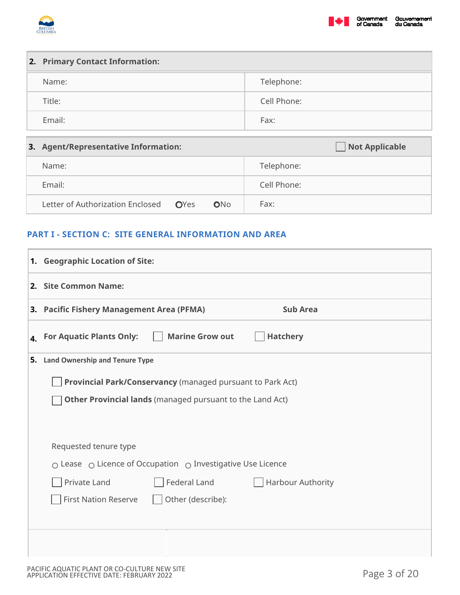



| 2. Primary Contact Information: |             |
|---------------------------------|-------------|
| Name:                           | Telephone:  |
| Title:                          | Cell Phone: |
| Email:                          | Fax:        |

| 3. Agent/Representative Information:         | <b>Not Applicable</b> |  |
|----------------------------------------------|-----------------------|--|
| Name:                                        | Telephone:            |  |
| Email:                                       | Cell Phone:           |  |
| Letter of Authorization Enclosed OYes<br>ONO | Fax:                  |  |

# **PART I - SECTION C: SITE GENERAL INFORMATION AND AREA**

|                | 1. Geographic Location of Site:                                               |
|----------------|-------------------------------------------------------------------------------|
|                | 2. Site Common Name:                                                          |
|                | 3. Pacific Fishery Management Area (PFMA)<br><b>Sub Area</b>                  |
| $\mathbf{4}$ . | <b>Marine Grow out</b><br><b>Hatchery</b><br><b>For Aquatic Plants Only:</b>  |
|                | 5. Land Ownership and Tenure Type                                             |
|                | Provincial Park/Conservancy (managed pursuant to Park Act)                    |
|                | Other Provincial lands (managed pursuant to the Land Act)                     |
|                |                                                                               |
|                | Requested tenure type                                                         |
|                | $\circ$ Lease $\circ$ Licence of Occupation $\circ$ Investigative Use Licence |
|                | Federal Land<br>Private Land<br>Harbour Authority                             |
|                | <b>First Nation Reserve</b><br>Other (describe):                              |
|                |                                                                               |
|                |                                                                               |
|                |                                                                               |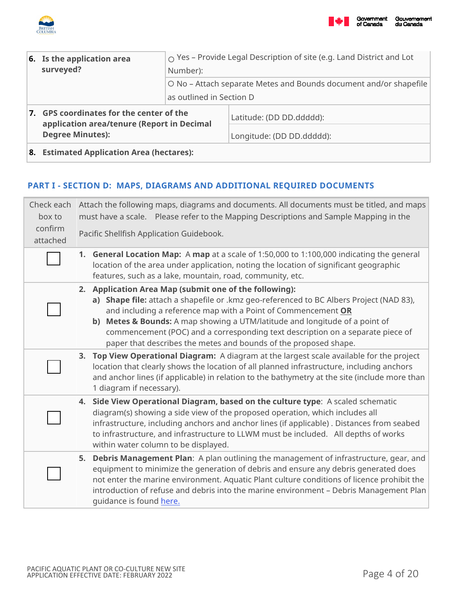



| 6. Is the application area<br>surveyed?                                                                           | $\circ$ Yes – Provide Legal Description of site (e.g. Land District and Lot<br>Number):       |                                                       |
|-------------------------------------------------------------------------------------------------------------------|-----------------------------------------------------------------------------------------------|-------------------------------------------------------|
|                                                                                                                   | O No – Attach separate Metes and Bounds document and/or shapefile<br>as outlined in Section D |                                                       |
| 7. GPS coordinates for the center of the<br>application area/tenure (Report in Decimal<br><b>Degree Minutes):</b> |                                                                                               | Latitude: (DD DD.ddddd):<br>Longitude: (DD DD.ddddd): |
| 8. Estimated Application Area (hectares):                                                                         |                                                                                               |                                                       |

### **PART I - SECTION D: MAPS, DIAGRAMS AND ADDITIONAL REQUIRED DOCUMENTS**

| Check each<br>box to<br>confirm<br>attached | Attach the following maps, diagrams and documents. All documents must be titled, and maps<br>must have a scale.  Please refer to the Mapping Descriptions and Sample Mapping in the<br>Pacific Shellfish Application Guidebook.                                                                                                                                                                                                                         |
|---------------------------------------------|---------------------------------------------------------------------------------------------------------------------------------------------------------------------------------------------------------------------------------------------------------------------------------------------------------------------------------------------------------------------------------------------------------------------------------------------------------|
|                                             | <b>General Location Map:</b> A map at a scale of 1:50,000 to 1:100,000 indicating the general<br>1.<br>location of the area under application, noting the location of significant geographic<br>features, such as a lake, mountain, road, community, etc.                                                                                                                                                                                               |
|                                             | 2. Application Area Map (submit one of the following):<br>a) Shape file: attach a shapefile or .kmz geo-referenced to BC Albers Project (NAD 83),<br>and including a reference map with a Point of Commencement OR<br>b) Metes & Bounds: A map showing a UTM/latitude and longitude of a point of<br>commencement (POC) and a corresponding text description on a separate piece of<br>paper that describes the metes and bounds of the proposed shape. |
|                                             | 3. Top View Operational Diagram: A diagram at the largest scale available for the project<br>location that clearly shows the location of all planned infrastructure, including anchors<br>and anchor lines (if applicable) in relation to the bathymetry at the site (include more than<br>1 diagram if necessary).                                                                                                                                     |
|                                             | 4. Side View Operational Diagram, based on the culture type: A scaled schematic<br>diagram(s) showing a side view of the proposed operation, which includes all<br>infrastructure, including anchors and anchor lines (if applicable) . Distances from seabed<br>to infrastructure, and infrastructure to LLWM must be included. All depths of works<br>within water column to be displayed.                                                            |
|                                             | Debris Management Plan: A plan outlining the management of infrastructure, gear, and<br>5.<br>equipment to minimize the generation of debris and ensure any debris generated does<br>not enter the marine environment. Aquatic Plant culture conditions of licence prohibit the<br>introduction of refuse and debris into the marine environment - Debris Management Plan<br>guidance is found here.                                                    |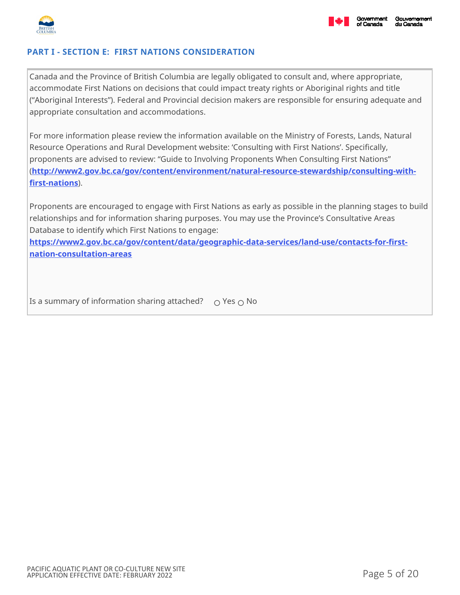

# **PART I - SECTION E: FIRST NATIONS CONSIDERATION**

Canada and the Province of British Columbia are legally obligated to consult and, where appropriate, accommodate First Nations on decisions that could impact treaty rights or Aboriginal rights and title ("Aboriginal Interests"). Federal and Provincial decision makers are responsible for ensuring adequate and appropriate consultation and accommodations.

For more information please review the information available on the Ministry of Forests, Lands, Natural Resource Operations and Rural Development website: 'Consulting with First Nations'. Specifically, proponents are advised to review: "Guide to Involving Proponents When Consulting First Nations" (**[http://www2.gov.bc.ca/gov/content/environment/natural-resource-stewardship/consulting-with](http://www2.gov.bc.ca/gov/content/environment/natural-resource-stewardship/consulting-with-first-nations)[first-nations](http://www2.gov.bc.ca/gov/content/environment/natural-resource-stewardship/consulting-with-first-nations)**).

Proponents are encouraged to engage with First Nations as early as possible in the planning stages to build relationships and for information sharing purposes. You may use the Province's Consultative Areas Database to identify which First Nations to engage:

**[https://www2.gov.bc.ca/gov/content/data/geographic-data-services/land-use/contacts-for-first](https://www2.gov.bc.ca/gov/content/data/geographic-data-services/land-use/contacts-for-first-nation-consultation-areas)[nation-consultation-areas](https://www2.gov.bc.ca/gov/content/data/geographic-data-services/land-use/contacts-for-first-nation-consultation-areas)**

Is a summary of information sharing attached?  $\bigcirc$  Yes  $\bigcirc$  No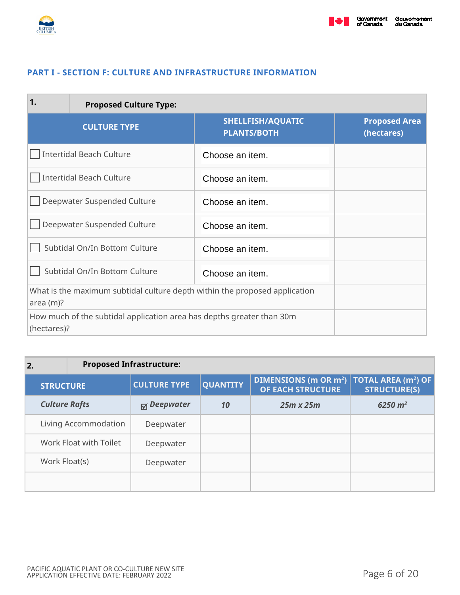



### **PART I - SECTION F: CULTURE AND INFRASTRUCTURE INFORMATION**

| 1.                              | <b>Proposed Culture Type:</b>                                              |                                                |                                    |
|---------------------------------|----------------------------------------------------------------------------|------------------------------------------------|------------------------------------|
|                                 | <b>CULTURE TYPE</b>                                                        | <b>SHELLFISH/AQUATIC</b><br><b>PLANTS/BOTH</b> | <b>Proposed Area</b><br>(hectares) |
| <b>Intertidal Beach Culture</b> |                                                                            | Choose an item.                                |                                    |
|                                 | <b>Intertidal Beach Culture</b>                                            | Choose an item.                                |                                    |
| Deepwater Suspended Culture     |                                                                            | Choose an item.                                |                                    |
| Deepwater Suspended Culture     |                                                                            | Choose an item.                                |                                    |
| Subtidal On/In Bottom Culture   |                                                                            | Choose an item.                                |                                    |
| Subtidal On/In Bottom Culture   |                                                                            | Choose an item.                                |                                    |
| area (m)?                       | What is the maximum subtidal culture depth within the proposed application |                                                |                                    |
| (hectares)?                     | How much of the subtidal application area has depths greater than 30m      |                                                |                                    |

| $\overline{2}$ . |                      | <b>Proposed Infrastructure:</b> |                     |                 |                                                                               |                     |
|------------------|----------------------|---------------------------------|---------------------|-----------------|-------------------------------------------------------------------------------|---------------------|
|                  | <b>STRUCTURE</b>     |                                 | <b>CULTURE TYPE</b> | <b>QUANTITY</b> | DIMENSIONS (m OR $m^2$ ) TOTAL AREA (m <sup>2</sup> ) OF<br>OF EACH STRUCTURE | <b>STRUCTURE(S)</b> |
|                  | <b>Culture Rafts</b> |                                 | $\boxdot$ Deepwater | 10              | $25m \times 25m$                                                              | $6250 \; m^2$       |
|                  |                      | Living Accommodation            | Deepwater           |                 |                                                                               |                     |
|                  |                      | Work Float with Toilet          | Deepwater           |                 |                                                                               |                     |
|                  | Work Float(s)        |                                 | Deepwater           |                 |                                                                               |                     |
|                  |                      |                                 |                     |                 |                                                                               |                     |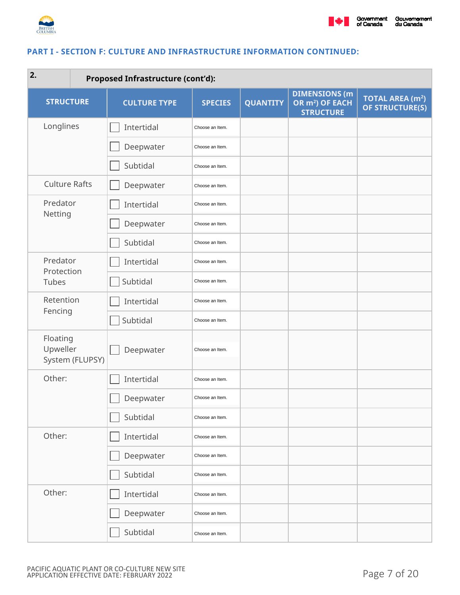

#### **PART I - SECTION F: CULTURE AND INFRASTRUCTURE INFORMATION CONTINUED:**

| 2.<br><b>Proposed Infrastructure (cont'd):</b> |                     |                 |                 |                                                                         |                                                      |
|------------------------------------------------|---------------------|-----------------|-----------------|-------------------------------------------------------------------------|------------------------------------------------------|
| <b>STRUCTURE</b>                               | <b>CULTURE TYPE</b> | <b>SPECIES</b>  | <b>QUANTITY</b> | <b>DIMENSIONS (m</b><br>OR m <sup>2</sup> ) OF EACH<br><b>STRUCTURE</b> | <b>TOTAL AREA (m<sup>2</sup>)</b><br>OF STRUCTURE(S) |
| Longlines                                      | Intertidal          | Choose an Item. |                 |                                                                         |                                                      |
|                                                | Deepwater           | Choose an Item. |                 |                                                                         |                                                      |
|                                                | Subtidal            | Choose an Item. |                 |                                                                         |                                                      |
| <b>Culture Rafts</b>                           | Deepwater           | Choose an Item. |                 |                                                                         |                                                      |
| Predator                                       | Intertidal          | Choose an Item. |                 |                                                                         |                                                      |
| Netting                                        | Deepwater           | Choose an Item. |                 |                                                                         |                                                      |
|                                                | Subtidal            | Choose an Item. |                 |                                                                         |                                                      |
| Predator<br>Protection                         | Intertidal          | Choose an Item. |                 |                                                                         |                                                      |
| Tubes                                          | Subtidal            | Choose an Item. |                 |                                                                         |                                                      |
| Retention                                      | Intertidal          | Choose an Item. |                 |                                                                         |                                                      |
| Fencing                                        | Subtidal            | Choose an Item. |                 |                                                                         |                                                      |
| Floating<br>Upweller<br>System (FLUPSY)        | Deepwater           | Choose an Item. |                 |                                                                         |                                                      |
| Other:                                         | Intertidal          | Choose an Item. |                 |                                                                         |                                                      |
|                                                | Deepwater           | Choose an Item. |                 |                                                                         |                                                      |
|                                                | Subtidal            | Choose an Item. |                 |                                                                         |                                                      |
| Other:                                         | Intertidal          | Choose an Item. |                 |                                                                         |                                                      |
|                                                | Deepwater           | Choose an Item. |                 |                                                                         |                                                      |
|                                                | Subtidal            | Choose an Item. |                 |                                                                         |                                                      |
| Other:                                         | Intertidal          | Choose an Item. |                 |                                                                         |                                                      |
|                                                | Deepwater           | Choose an Item. |                 |                                                                         |                                                      |
|                                                | Subtidal            | Choose an Item. |                 |                                                                         |                                                      |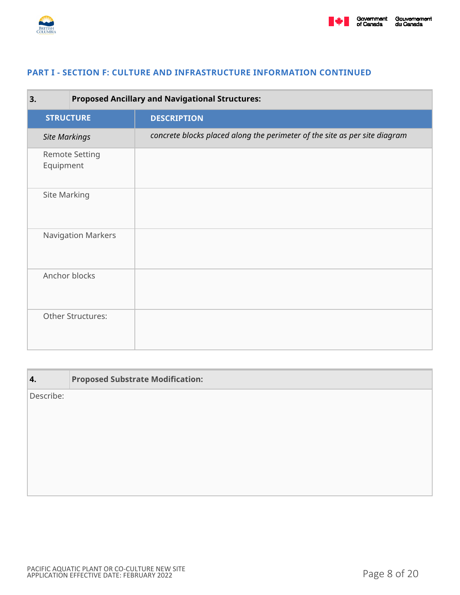

#### **PART I - SECTION F: CULTURE AND INFRASTRUCTURE INFORMATION CONTINUED**

| 3.                   | <b>Proposed Ancillary and Navigational Structures:</b> |                                                                            |
|----------------------|--------------------------------------------------------|----------------------------------------------------------------------------|
| <b>STRUCTURE</b>     |                                                        | <b>DESCRIPTION</b>                                                         |
| <b>Site Markings</b> |                                                        | concrete blocks placed along the perimeter of the site as per site diagram |
| Equipment            | <b>Remote Setting</b>                                  |                                                                            |
| Site Marking         |                                                        |                                                                            |
|                      | <b>Navigation Markers</b>                              |                                                                            |
|                      | Anchor blocks                                          |                                                                            |
|                      | Other Structures:                                      |                                                                            |

| 4.        | <b>Proposed Substrate Modification:</b> |
|-----------|-----------------------------------------|
| Describe: |                                         |
|           |                                         |
|           |                                         |
|           |                                         |
|           |                                         |
|           |                                         |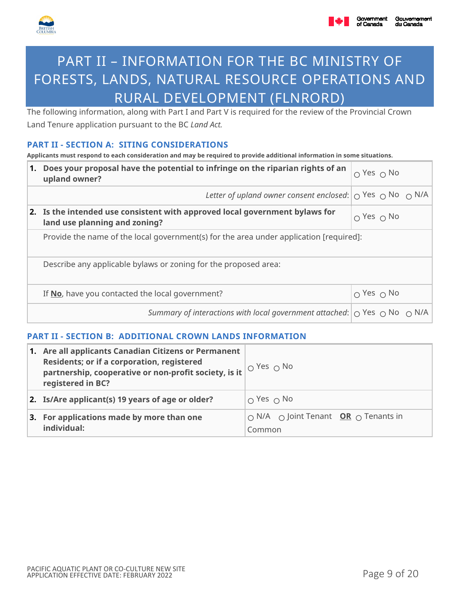



# PART II – INFORMATION FOR THE BC MINISTRY OF FORESTS, LANDS, NATURAL RESOURCE OPERATIONS AND RURAL DEVELOPMENT (FLNRORD)

The following information, along with Part I and Part V is required for the review of the Provincial Crown Land Tenure application pursuant to the BC *Land Act.*

### **PART II - SECTION A: SITING CONSIDERATIONS**

**Applicants must respond to each consideration and may be required to provide additional information in some situations.** 

| Does your proposal have the potential to infringe on the riparian rights of an<br>1.<br>upland owner?        |                        |  |
|--------------------------------------------------------------------------------------------------------------|------------------------|--|
| Letter of upland owner consent enclosed: $\bigcirc$ Yes $\bigcirc$ No $\bigcirc$ N/A                         |                        |  |
| 2. Is the intended use consistent with approved local government bylaws for<br>land use planning and zoning? | $\circ$ Yes $\circ$ No |  |
| Provide the name of the local government(s) for the area under application [required]:                       |                        |  |
| Describe any applicable bylaws or zoning for the proposed area:                                              |                        |  |
| If No, have you contacted the local government?                                                              | $\cap$ Yes $\cap$ No   |  |
| Summary of interactions with local government attached: $\circ$ Yes $\circ$ No $\circ$ N/A                   |                        |  |

## **PART II - SECTION B: ADDITIONAL CROWN LANDS INFORMATION**

| 1. Are all applicants Canadian Citizens or Permanent<br><b>Residents; or if a corporation, registered</b><br>partnership, cooperative or non-profit society, is it<br>registered in BC? | $\overline{1}_\text{O}$ Yes $_\text{O}$ No                                       |
|-----------------------------------------------------------------------------------------------------------------------------------------------------------------------------------------|----------------------------------------------------------------------------------|
| 2. Is/Are applicant(s) 19 years of age or older?                                                                                                                                        | $\circ$ Yes $\circ$ No                                                           |
| 3. For applications made by more than one<br>individual:                                                                                                                                | $\bigcirc$ N/A $\bigcirc$ Joint Tenant <b>OR</b> $\bigcirc$ Tenants in<br>Common |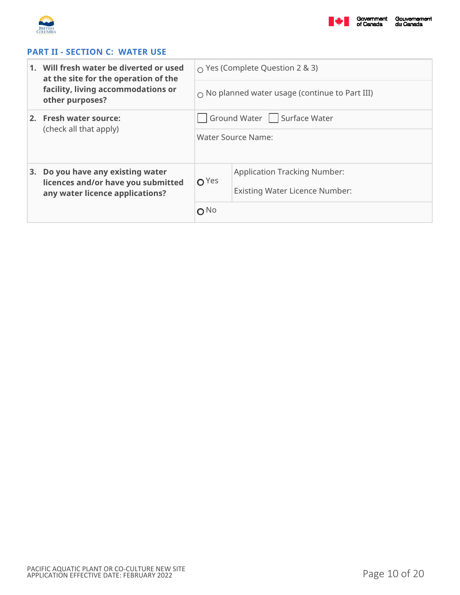



## **PART II - SECTION C: WATER USE**

|    | 1. Will fresh water be diverted or used<br>at the site for the operation of the | $\circ$ Yes (Complete Question 2 & 3)                 |                                     |  |
|----|---------------------------------------------------------------------------------|-------------------------------------------------------|-------------------------------------|--|
|    | facility, living accommodations or<br>other purposes?                           | $\circ$ No planned water usage (continue to Part III) |                                     |  |
|    | 2. Fresh water source:                                                          |                                                       | Ground Water   Surface Water        |  |
|    | (check all that apply)                                                          |                                                       | Water Source Name:                  |  |
| 3. | Do you have any existing water<br>licences and/or have you submitted            | $O$ Yes                                               | <b>Application Tracking Number:</b> |  |
|    | any water licence applications?                                                 |                                                       | Existing Water Licence Number:      |  |
|    |                                                                                 | $O$ No                                                |                                     |  |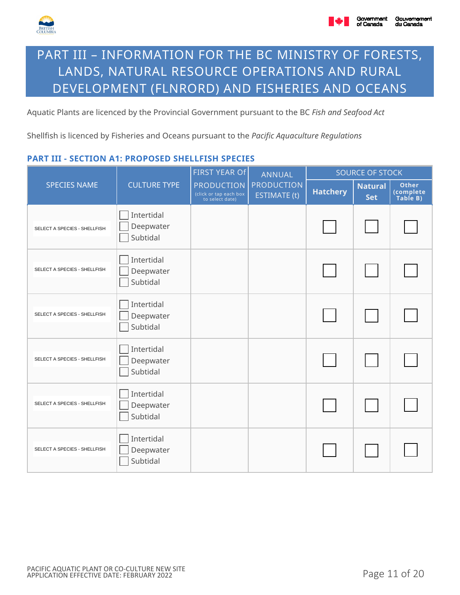

# PART III – INFORMATION FOR THE BC MINISTRY OF FORESTS, LANDS, NATURAL RESOURCE OPERATIONS AND RURAL DEVELOPMENT (FLNRORD) AND FISHERIES AND OCEANS

Aquatic Plants are licenced by the Provincial Government pursuant to the BC *Fish and Seafood Act*

Shellfish is licenced by Fisheries and Oceans pursuant to the *Pacific Aquaculture Regulations*

### **PART III - SECTION A1: PROPOSED SHELLFISH SPECIES**

|                              | <b>CULTURE TYPE</b>                 | <b>FIRST YEAR Of</b><br><b>PRODUCTION</b><br>(click or tap each box<br>to select date) | <b>ANNUAL</b><br><b>PRODUCTION</b><br>ESTIMATE (t) | <b>SOURCE OF STOCK</b> |                              |                                       |
|------------------------------|-------------------------------------|----------------------------------------------------------------------------------------|----------------------------------------------------|------------------------|------------------------------|---------------------------------------|
| <b>SPECIES NAME</b>          |                                     |                                                                                        |                                                    | <b>Hatchery</b>        | <b>Natural</b><br><b>Set</b> | <b>Other</b><br>(complete<br>Table B) |
| SELECT A SPECIES - SHELLFISH | Intertidal<br>Deepwater<br>Subtidal |                                                                                        |                                                    |                        |                              |                                       |
| SELECT A SPECIES - SHELLFISH | Intertidal<br>Deepwater<br>Subtidal |                                                                                        |                                                    |                        |                              |                                       |
| SELECT A SPECIES - SHELLFISH | Intertidal<br>Deepwater<br>Subtidal |                                                                                        |                                                    |                        |                              |                                       |
| SELECT A SPECIES - SHELLFISH | Intertidal<br>Deepwater<br>Subtidal |                                                                                        |                                                    |                        |                              |                                       |
| SELECT A SPECIES - SHELLFISH | Intertidal<br>Deepwater<br>Subtidal |                                                                                        |                                                    |                        |                              |                                       |
| SELECT A SPECIES - SHELLFISH | Intertidal<br>Deepwater<br>Subtidal |                                                                                        |                                                    |                        |                              |                                       |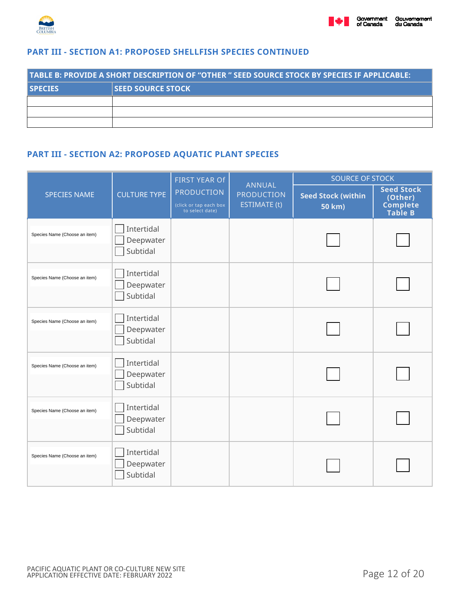

### **PART III - SECTION A1: PROPOSED SHELLFISH SPECIES CONTINUED**

| TABLE B: PROVIDE A SHORT DESCRIPTION OF "OTHER " SEED SOURCE STOCK BY SPECIES IF APPLICABLE: |                          |  |  |  |  |
|----------------------------------------------------------------------------------------------|--------------------------|--|--|--|--|
| <b>I</b> SPECIES                                                                             | <b>SEED SOURCE STOCK</b> |  |  |  |  |
|                                                                                              |                          |  |  |  |  |
|                                                                                              |                          |  |  |  |  |
|                                                                                              |                          |  |  |  |  |

# **PART III - SECTION A2: PROPOSED AQUATIC PLANT SPECIES**

|                               |                                     | <b>FIRST YEAR Of</b>                                           |                                                           | <b>SOURCE OF STOCK</b>              |                                                                   |  |
|-------------------------------|-------------------------------------|----------------------------------------------------------------|-----------------------------------------------------------|-------------------------------------|-------------------------------------------------------------------|--|
| <b>SPECIES NAME</b>           | <b>CULTURE TYPE</b>                 | <b>PRODUCTION</b><br>(click or tap each box<br>to select date) | <b>ANNUAL</b><br><b>PRODUCTION</b><br><b>ESTIMATE (t)</b> | <b>Seed Stock (within</b><br>50 km) | <b>Seed Stock</b><br>(Other)<br><b>Complete</b><br><b>Table B</b> |  |
| Species Name (Choose an item) | Intertidal<br>Deepwater<br>Subtidal |                                                                |                                                           |                                     |                                                                   |  |
| Species Name (Choose an item) | Intertidal<br>Deepwater<br>Subtidal |                                                                |                                                           |                                     |                                                                   |  |
| Species Name (Choose an item) | Intertidal<br>Deepwater<br>Subtidal |                                                                |                                                           |                                     |                                                                   |  |
| Species Name (Choose an item) | Intertidal<br>Deepwater<br>Subtidal |                                                                |                                                           |                                     |                                                                   |  |
| Species Name (Choose an item) | Intertidal<br>Deepwater<br>Subtidal |                                                                |                                                           |                                     |                                                                   |  |
| Species Name (Choose an item) | Intertidal<br>Deepwater<br>Subtidal |                                                                |                                                           |                                     |                                                                   |  |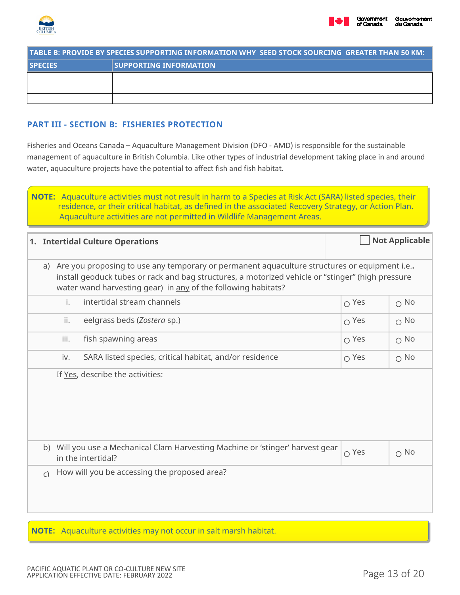



| TABLE B: PROVIDE BY SPECIES SUPPORTING INFORMATION WHY  SEED STOCK SOURCING  GREATER THAN 50 KM: [ |                               |  |  |  |  |
|----------------------------------------------------------------------------------------------------|-------------------------------|--|--|--|--|
| <b>SPECIES</b>                                                                                     | <b>SUPPORTING INFORMATION</b> |  |  |  |  |
|                                                                                                    |                               |  |  |  |  |
|                                                                                                    |                               |  |  |  |  |
|                                                                                                    |                               |  |  |  |  |

### **PART III - SECTION B: FISHERIES PROTECTION**

Fisheries and Oceans Canada – Aquaculture Management Division (DFO - AMD) is responsible for the sustainable management of aquaculture in British Columbia. Like other types of industrial development taking place in and around water, aquaculture projects have the potential to affect fish and fish habitat.

| <b>NOTE:</b> Aquaculture activities must not result in harm to a Species at Risk Act (SARA) listed species, their |
|-------------------------------------------------------------------------------------------------------------------|
| residence, or their critical habitat, as defined in the associated Recovery Strategy, or Action Plan.             |
| Aquaculture activities are not permitted in Wildlife Management Areas.                                            |

|                                                                                                                                                                                                                                                                      | 1. Intertidal Culture Operations |                |                                                                                                      |             | <b>Not Applicable</b> |  |
|----------------------------------------------------------------------------------------------------------------------------------------------------------------------------------------------------------------------------------------------------------------------|----------------------------------|----------------|------------------------------------------------------------------------------------------------------|-------------|-----------------------|--|
| a) Are you proposing to use any temporary or permanent aquaculture structures or equipment i.e<br>install geoduck tubes or rack and bag structures, a motorized vehicle or "stinger" (high pressure<br>water wand harvesting gear) in any of the following habitats? |                                  |                |                                                                                                      |             |                       |  |
|                                                                                                                                                                                                                                                                      |                                  | $\mathbf{i}$ . | intertidal stream channels                                                                           | $O$ Yes     | $\circ$ No            |  |
|                                                                                                                                                                                                                                                                      |                                  | ii.            | eelgrass beds (Zostera sp.)                                                                          | $O$ Yes     | $\circ$ No            |  |
|                                                                                                                                                                                                                                                                      |                                  | iii.           | fish spawning areas                                                                                  | $O$ Yes     | $\circ$ No            |  |
|                                                                                                                                                                                                                                                                      |                                  | iv.            | SARA listed species, critical habitat, and/or residence                                              | $\circ$ Yes | $\circ$ No            |  |
|                                                                                                                                                                                                                                                                      |                                  |                | If Yes, describe the activities:                                                                     |             |                       |  |
|                                                                                                                                                                                                                                                                      |                                  |                | b) Will you use a Mechanical Clam Harvesting Machine or 'stinger' harvest gear<br>in the intertidal? | O Yes       | $\circ$ No            |  |
|                                                                                                                                                                                                                                                                      | $\mathsf{C}$                     |                | How will you be accessing the proposed area?                                                         |             |                       |  |

**NOTE:** Aquaculture activities may not occur in salt marsh habitat.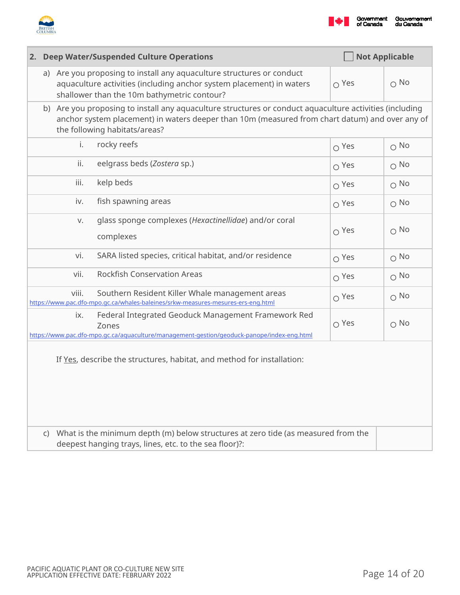



|                                                                                                                                                                   | <b>Not Applicable</b><br>2. Deep Water/Suspended Culture Operations                                                                                                                                                                        |                                                                                                                                                                                              |              |             |  |
|-------------------------------------------------------------------------------------------------------------------------------------------------------------------|--------------------------------------------------------------------------------------------------------------------------------------------------------------------------------------------------------------------------------------------|----------------------------------------------------------------------------------------------------------------------------------------------------------------------------------------------|--------------|-------------|--|
|                                                                                                                                                                   |                                                                                                                                                                                                                                            | a) Are you proposing to install any aquaculture structures or conduct<br>aquaculture activities (including anchor system placement) in waters<br>shallower than the 10m bathymetric contour? | $\circ$ Yes  | $\Omega$ No |  |
|                                                                                                                                                                   | b) Are you proposing to install any aquaculture structures or conduct aquaculture activities (including<br>anchor system placement) in waters deeper than 10m (measured from chart datum) and over any of<br>the following habitats/areas? |                                                                                                                                                                                              |              |             |  |
|                                                                                                                                                                   | rocky reefs<br>i.                                                                                                                                                                                                                          |                                                                                                                                                                                              | $\circ$ Yes  | $\circ$ No  |  |
|                                                                                                                                                                   | ii.                                                                                                                                                                                                                                        | eelgrass beds (Zostera sp.)                                                                                                                                                                  | $O$ Yes      | $\circ$ No  |  |
|                                                                                                                                                                   | iii.<br>kelp beds                                                                                                                                                                                                                          |                                                                                                                                                                                              | $\Omega$ Yes | $\circ$ No  |  |
|                                                                                                                                                                   | fish spawning areas<br>iv.                                                                                                                                                                                                                 |                                                                                                                                                                                              | $\Omega$ Yes | $\circ$ No  |  |
|                                                                                                                                                                   | V.<br>complexes                                                                                                                                                                                                                            | glass sponge complexes (Hexactinellidae) and/or coral                                                                                                                                        | $\Omega$ Yes | $\circ$ No  |  |
|                                                                                                                                                                   | vi.                                                                                                                                                                                                                                        | SARA listed species, critical habitat, and/or residence                                                                                                                                      | $\Omega$ Yes | $\circ$ No  |  |
|                                                                                                                                                                   | vii.                                                                                                                                                                                                                                       | <b>Rockfish Conservation Areas</b>                                                                                                                                                           | $\Omega$ Yes | $\circ$ No  |  |
|                                                                                                                                                                   | viii.                                                                                                                                                                                                                                      | Southern Resident Killer Whale management areas<br>https://www.pac.dfo-mpo.gc.ca/whales-baleines/srkw-measures-mesures-ers-eng.html                                                          | $\circ$ Yes  | $\circ$ No  |  |
|                                                                                                                                                                   | ix.<br>Zones                                                                                                                                                                                                                               | Federal Integrated Geoduck Management Framework Red<br>https://www.pac.dfo-mpo.gc.ca/aquaculture/management-gestion/geoduck-panope/index-eng.html                                            | $\circ$ Yes  | $\circ$ No  |  |
| If Yes, describe the structures, habitat, and method for installation:<br>What is the minimum depth (m) below structures at zero tide (as measured from the<br>C) |                                                                                                                                                                                                                                            |                                                                                                                                                                                              |              |             |  |
|                                                                                                                                                                   | deepest hanging trays, lines, etc. to the sea floor)?:                                                                                                                                                                                     |                                                                                                                                                                                              |              |             |  |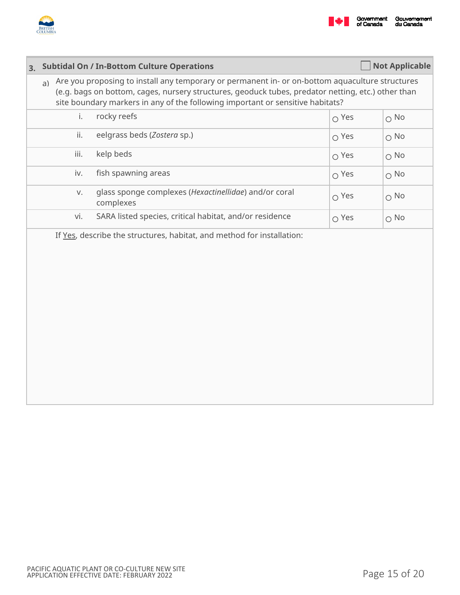

| 3. |                                                                                                                                                                                                                                                                                               | <b>Subtidal On / In-Bottom Culture Operations</b>                  |              | <b>Not Applicable</b> |  |  |  |  |
|----|-----------------------------------------------------------------------------------------------------------------------------------------------------------------------------------------------------------------------------------------------------------------------------------------------|--------------------------------------------------------------------|--------------|-----------------------|--|--|--|--|
|    | Are you proposing to install any temporary or permanent in- or on-bottom aquaculture structures<br>a)<br>(e.g. bags on bottom, cages, nursery structures, geoduck tubes, predator netting, etc.) other than<br>site boundary markers in any of the following important or sensitive habitats? |                                                                    |              |                       |  |  |  |  |
|    | i.                                                                                                                                                                                                                                                                                            | rocky reefs                                                        | $\Omega$ Yes | $\circ$ No            |  |  |  |  |
|    | ii.                                                                                                                                                                                                                                                                                           | eelgrass beds (Zostera sp.)                                        | $\Omega$ Yes | $\bigcirc$ No         |  |  |  |  |
|    | iii.                                                                                                                                                                                                                                                                                          | kelp beds                                                          | $\Omega$ Yes | $\bigcirc$ No         |  |  |  |  |
|    | iv.                                                                                                                                                                                                                                                                                           | fish spawning areas                                                | $\Omega$ Yes | $\circ$ No            |  |  |  |  |
|    | V.                                                                                                                                                                                                                                                                                            | glass sponge complexes (Hexactinellidae) and/or coral<br>complexes | $\Omega$ Yes | $\bigcirc$ No         |  |  |  |  |
|    | vi.                                                                                                                                                                                                                                                                                           | SARA listed species, critical habitat, and/or residence            | $\Omega$ Yes | $\circ$ No            |  |  |  |  |
|    | If Yes, describe the structures, habitat, and method for installation:                                                                                                                                                                                                                        |                                                                    |              |                       |  |  |  |  |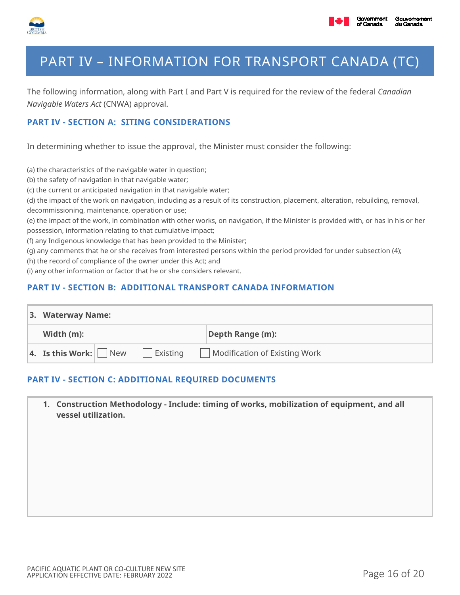

# PART IV – INFORMATION FOR TRANSPORT CANADA (TC)

The following information, along with Part I and Part V is required for the review of the federal *Canadian Navigable Waters Act* (CNWA) approval.

## **PART IV - SECTION A: SITING CONSIDERATIONS**

In determining whether to issue the approval, the Minister must consider the following:

(a) the characteristics of the navigable water in question;

(b) the safety of navigation in that navigable water;

(c) the current or anticipated navigation in that navigable water;

(d) the impact of the work on navigation, including as a result of its construction, placement, alteration, rebuilding, removal, decommissioning, maintenance, operation or use;

(e) the impact of the work, in combination with other works, on navigation, if the Minister is provided with, or has in his or her possession, information relating to that cumulative impact;

(f) any Indigenous knowledge that has been provided to the Minister;

(g) any comments that he or she receives from interested persons within the period provided for under subsection (4);

(h) the record of compliance of the owner under this Act; and

(i) any other information or factor that he or she considers relevant.

#### **PART IV - SECTION B: ADDITIONAL TRANSPORT CANADA INFORMATION**

| 3. Waterway Name:                         |          |                               |  |  |  |
|-------------------------------------------|----------|-------------------------------|--|--|--|
| Width $(m)$ :                             |          | Depth Range (m):              |  |  |  |
| 4. Is this Work: $\sqrt{\phantom{a}}$ New | Existing | Modification of Existing Work |  |  |  |

### **PART IV - SECTION C: ADDITIONAL REQUIRED DOCUMENTS**

**1. Construction Methodology - Include: timing of works, mobilization of equipment, and all vessel utilization.**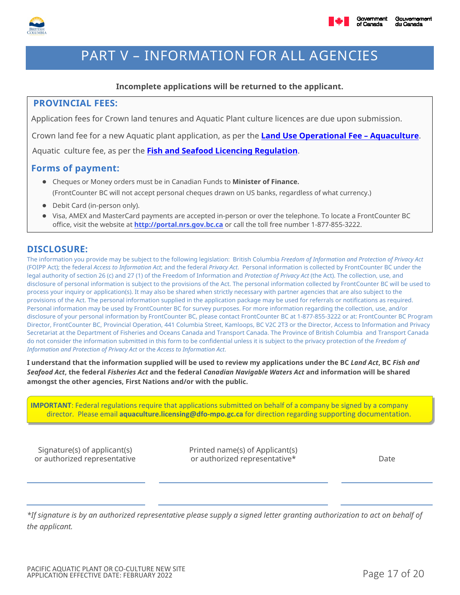

# PART V – INFORMATION FOR ALL AGENCIES

### **Incomplete applications will be returned to the applicant.**

### **PROVINCIAL FEES:**

Application fees for Crown land tenures and Aquatic Plant culture licences are due upon submission.

Crown land fee for a new Aquatic plant application, as per the **[Land Use Operational Fee – Aquaculture](https://www2.gov.bc.ca/assets/gov/farming-natural-resources-and-industry/natural-resource-use/land-water-use/crown-land/aquaculture.pdf)**.

Aquatic culture fee, as per the **[Fish and Seafood Licencing Regulation](https://www.bclaws.gov.bc.ca/civix/document/id/complete/statreg/261_2016)**.

### **Forms of payment:**

- Cheques or Money orders must be in Canadian Funds to **Minister of Finance.** (FrontCounter BC will not accept personal cheques drawn on US banks, regardless of what currency.)
- Debit Card (in-person only).
- Visa, AMEX and MasterCard payments are accepted in-person or over the telephone. To locate a FrontCounter BC office, visit the website at **http://[portal.nrs.gov.bc.ca](https://portal.nrs.gov.bc.ca/web/client/contact)** or call the toll free number 1-877-855-3222.

### **DISCLOSURE:**

The information you provide may be subject to the following legislation: British Columbia *Freedom of Information and Protection of Privacy Act* (FOIPP Act); the federal *Access to Information Act*; and the federal *Privacy Act*. Personal information is collected by FrontCounter BC under the legal authority of section 26 (c) and 27 (1) of the Freedom of Information and *Protection of Privacy Act* (the Act). The collection, use, and disclosure of personal information is subject to the provisions of the Act. The personal information collected by FrontCounter BC will be used to process your inquiry or application(s). It may also be shared when strictly necessary with partner agencies that are also subject to the provisions of the Act. The personal information supplied in the application package may be used for referrals or notifications as required. Personal information may be used by FrontCounter BC for survey purposes. For more information regarding the collection, use, and/or disclosure of your personal information by FrontCounter BC, please contact FrontCounter BC at 1-877-855-3222 or at: FrontCounter BC Program Director, FrontCounter BC, Provincial Operation, 441 Columbia Street, Kamloops, BC V2C 2T3 or the Director, Access to Information and Privacy Secretariat at the Department of Fisheries and Oceans Canada and Transport Canada. The Province of British Columbia and Transport Canada do not consider the information submitted in this form to be confidential unless it is subject to the privacy protection of the *Freedom of Information and Protection of Privacy Act* or the *Access to Information Act*.

**I understand that the information supplied will be used to review my applications under the BC** *Land Act***, BC** *Fish and Seafood Act***, the federal** *Fisheries Act* **and the federal** *Canadian Navigable Waters Act* **and information will be shared amongst the other agencies, First Nations and/or with the public.**

**IMPORTANT**: Federal regulations require that applications submitted on behalf of a company be signed by a company director. Please email **aquaculture.licensing@dfo-mpo.gc.ca** for direction regarding supporting documentation.

Signature(s) of applicant(s) or authorized representative Printed name(s) of Applicant(s) or authorized representative\* The control of the Date

*\*If signature is by an authorized representative please supply a signed letter granting authorization to act on behalf of the applicant.*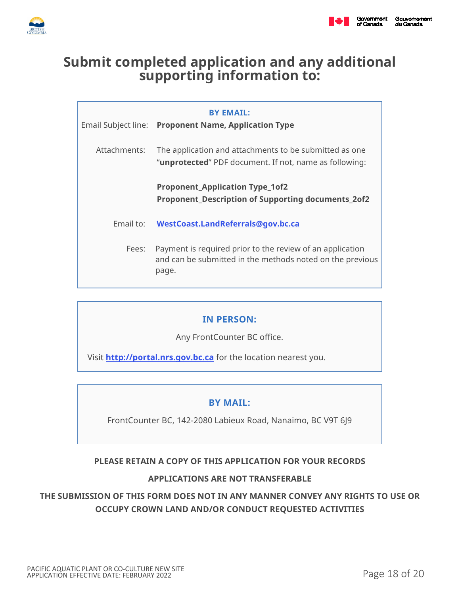

# **Submit completed application and any additional supporting information to:**

|              | <b>BY EMAIL:</b><br>Email Subject line: Proponent Name, Application Type                                                        |
|--------------|---------------------------------------------------------------------------------------------------------------------------------|
| Attachments: | The application and attachments to be submitted as one<br>" <b>unprotected</b> " PDF document. If not, name as following:       |
|              | <b>Proponent_Application Type_1of2</b><br><b>Proponent_Description of Supporting documents_2of2</b>                             |
| Email to:    | WestCoast.LandReferrals@gov.bc.ca                                                                                               |
| Fees:        | Payment is required prior to the review of an application<br>and can be submitted in the methods noted on the previous<br>page. |

## **IN PERSON:**

Any FrontCounter BC office.

Visit **http://[portal.nrs](https://portal.nrs.gov.bc.ca/web/client/locations).gov.bc.ca** for the location nearest you.

## **BY MAIL:**

FrontCounter BC, 142-2080 Labieux Road, Nanaimo, BC V9T 6J9

## **PLEASE RETAIN A COPY OF THIS APPLICATION FOR YOUR RECORDS**

## **APPLICATIONS ARE NOT TRANSFERABLE**

# **THE SUBMISSION OF THIS FORM DOES NOT IN ANY MANNER CONVEY ANY RIGHTS TO USE OR OCCUPY CROWN LAND AND/OR CONDUCT REQUESTED ACTIVITIES**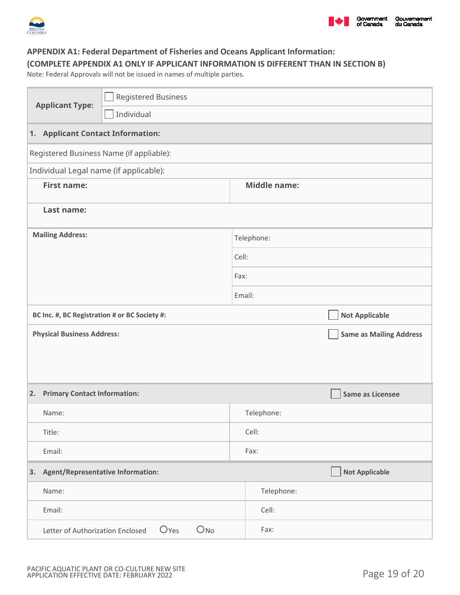

### **APPENDIX A1: Federal Department of Fisheries and Oceans Applicant Information: (COMPLETE APPENDIX A1 ONLY IF APPLICANT INFORMATION IS DIFFERENT THAN IN SECTION B)**

Note: Federal Approvals will not be issued in names of multiple parties.

| <b>Applicant Type:</b>                        | <b>Registered Business</b>                                              |        |                     |                                |  |  |  |  |
|-----------------------------------------------|-------------------------------------------------------------------------|--------|---------------------|--------------------------------|--|--|--|--|
|                                               | Individual                                                              |        |                     |                                |  |  |  |  |
| 1. Applicant Contact Information:             |                                                                         |        |                     |                                |  |  |  |  |
|                                               | Registered Business Name (if appliable):                                |        |                     |                                |  |  |  |  |
| Individual Legal name (if applicable):        |                                                                         |        |                     |                                |  |  |  |  |
| <b>First name:</b>                            |                                                                         |        | <b>Middle name:</b> |                                |  |  |  |  |
| Last name:                                    |                                                                         |        |                     |                                |  |  |  |  |
| <b>Mailing Address:</b>                       |                                                                         |        | Telephone:          |                                |  |  |  |  |
|                                               |                                                                         |        | Cell:               |                                |  |  |  |  |
|                                               |                                                                         |        | Fax:                |                                |  |  |  |  |
|                                               |                                                                         | Email: |                     |                                |  |  |  |  |
| BC Inc. #, BC Registration # or BC Society #: |                                                                         |        |                     | <b>Not Applicable</b>          |  |  |  |  |
| <b>Physical Business Address:</b>             |                                                                         |        |                     | <b>Same as Mailing Address</b> |  |  |  |  |
|                                               |                                                                         |        |                     |                                |  |  |  |  |
|                                               |                                                                         |        |                     |                                |  |  |  |  |
| 2.                                            | <b>Primary Contact Information:</b>                                     |        |                     | Same as Licensee               |  |  |  |  |
| Name:                                         |                                                                         |        | Telephone:          |                                |  |  |  |  |
| Title:                                        |                                                                         |        | Cell:               |                                |  |  |  |  |
| Email:                                        |                                                                         |        | Fax:                |                                |  |  |  |  |
| 3.                                            | <b>Agent/Representative Information:</b>                                |        |                     | <b>Not Applicable</b>          |  |  |  |  |
| Name:                                         |                                                                         |        |                     |                                |  |  |  |  |
| Email:                                        |                                                                         |        | Cell:               |                                |  |  |  |  |
|                                               | O <sub>No</sub><br>O <sub>Yes</sub><br>Letter of Authorization Enclosed |        | Fax:                |                                |  |  |  |  |